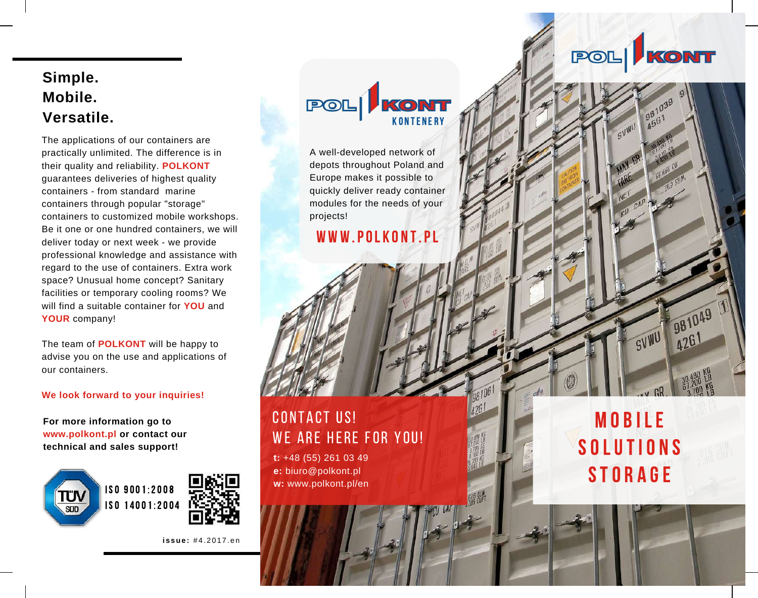## **Simple. Mobile. Versatile.**

The applications of our containers are practically unlimited. The difference is in their quality and reliability. **POLKONT** guarantees deliveries of highest quality containers - from standard marine containers through popular "storage" containers to customized mobile workshops. Be it one or one hundred containers, we will deliver today or next week - we provide professional knowledge and assistance with regard to the use of containers. Extra work space? Unusual home concept? Sanitary facilities or temporary cooling rooms? We will find a suitable container for **YOU** and **YOUR** company!

The team of **POLKONT** will be happy to advise you on the use and applications of our containers.

### **We look forward to your inquiries!**

**For more information go to www.polkont.pl or contact our technical and sales support!**





**i s sue :** # 4 . 2 0 1 7 . e n



A well-developed network of depots throughout Poland and Europe makes it possible to quickly deliver ready container modules for the needs of your projects!

## WWW.POLKONT.PL

a810c

# CONTACT US! WE ARE HERE FOR YOU!

**t:** +48 (55) 261 03 49 **e:** biuro@polkont.pl **w:** www.polkont.pl/en

# POL| KONT

981039  $\frac{98}{456}1$ 

981049

4261



SVWU